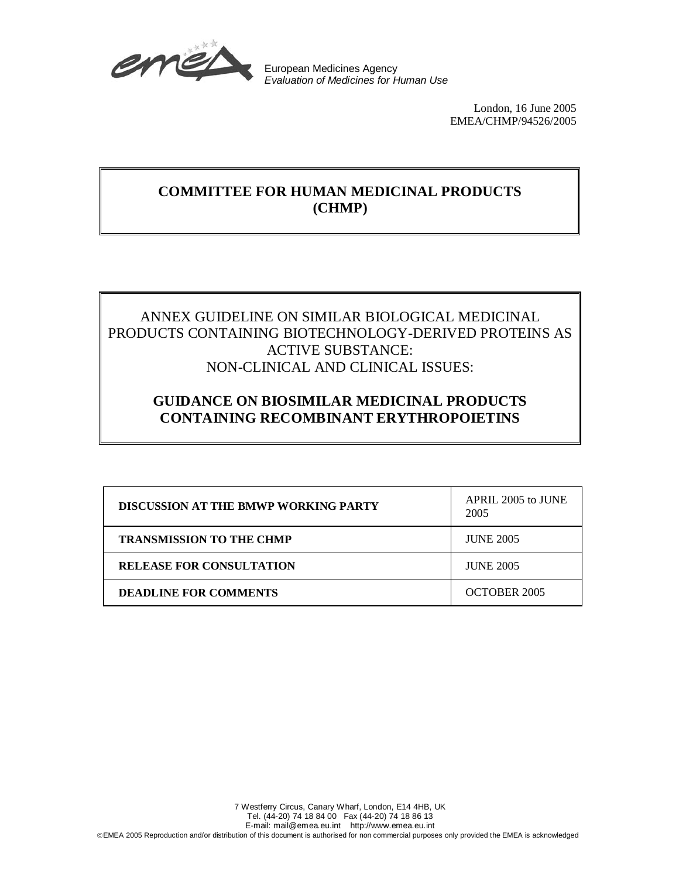

European Medicines Agency Evaluation of Medicines for Human Use

> London, 16 June 2005 EMEA/CHMP/94526/2005

## **COMMITTEE FOR HUMAN MEDICINAL PRODUCTS (CHMP)**

## ANNEX GUIDELINE ON SIMILAR BIOLOGICAL MEDICINAL PRODUCTS CONTAINING BIOTECHNOLOGY-DERIVED PROTEINS AS ACTIVE SUBSTANCE: NON-CLINICAL AND CLINICAL ISSUES:

## **GUIDANCE ON BIOSIMILAR MEDICINAL PRODUCTS CONTAINING RECOMBINANT ERYTHROPOIETINS**

| <b>DISCUSSION AT THE BMWP WORKING PARTY</b> | APRIL 2005 to JUNE<br>2005 |
|---------------------------------------------|----------------------------|
| <b>TRANSMISSION TO THE CHMP</b>             | <b>JUNE 2005</b>           |
| <b>RELEASE FOR CONSULTATION</b>             | <b>JUNE 2005</b>           |
| <b>DEADLINE FOR COMMENTS</b>                | OCTOBER 2005               |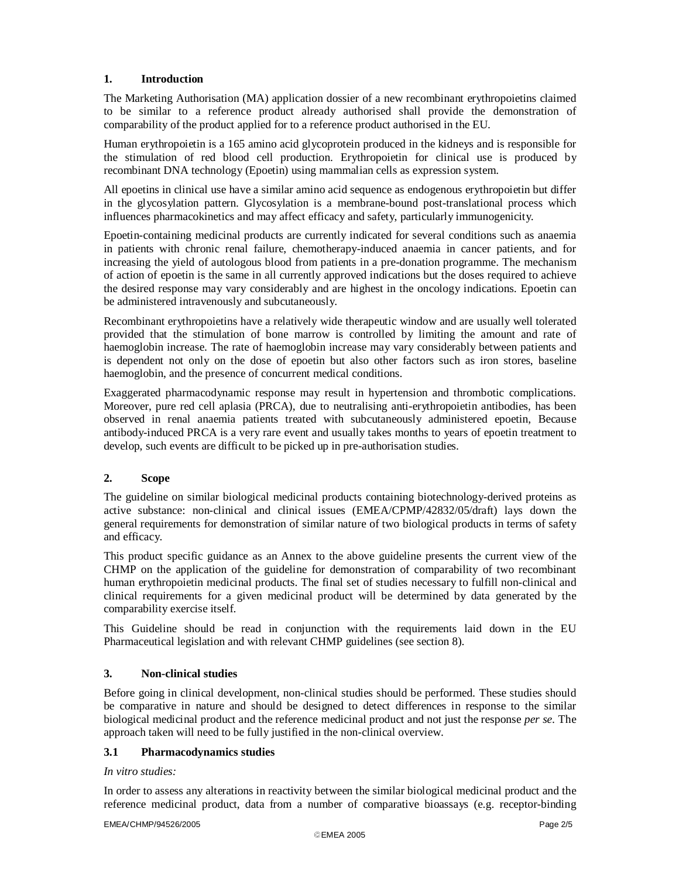## **1. Introduction**

The Marketing Authorisation (MA) application dossier of a new recombinant erythropoietins claimed to be similar to a reference product already authorised shall provide the demonstration of comparability of the product applied for to a reference product authorised in the EU.

Human erythropoietin is a 165 amino acid glycoprotein produced in the kidneys and is responsible for the stimulation of red blood cell production. Erythropoietin for clinical use is produced by recombinant DNA technology (Epoetin) using mammalian cells as expression system.

All epoetins in clinical use have a similar amino acid sequence as endogenous erythropoietin but differ in the glycosylation pattern. Glycosylation is a membrane-bound post-translational process which influences pharmacokinetics and may affect efficacy and safety, particularly immunogenicity.

Epoetin-containing medicinal products are currently indicated for several conditions such as anaemia in patients with chronic renal failure, chemotherapy-induced anaemia in cancer patients, and for increasing the yield of autologous blood from patients in a pre-donation programme. The mechanism of action of epoetin is the same in all currently approved indications but the doses required to achieve the desired response may vary considerably and are highest in the oncology indications. Epoetin can be administered intravenously and subcutaneously.

Recombinant erythropoietins have a relatively wide therapeutic window and are usually well tolerated provided that the stimulation of bone marrow is controlled by limiting the amount and rate of haemoglobin increase. The rate of haemoglobin increase may vary considerably between patients and is dependent not only on the dose of epoetin but also other factors such as iron stores, baseline haemoglobin, and the presence of concurrent medical conditions.

Exaggerated pharmacodynamic response may result in hypertension and thrombotic complications. Moreover, pure red cell aplasia (PRCA), due to neutralising anti-erythropoietin antibodies, has been observed in renal anaemia patients treated with subcutaneously administered epoetin, Because antibody-induced PRCA is a very rare event and usually takes months to years of epoetin treatment to develop, such events are difficult to be picked up in pre-authorisation studies.

## **2. Scope**

The guideline on similar biological medicinal products containing biotechnology-derived proteins as active substance: non-clinical and clinical issues (EMEA/CPMP/42832/05/draft) lays down the general requirements for demonstration of similar nature of two biological products in terms of safety and efficacy.

This product specific guidance as an Annex to the above guideline presents the current view of the CHMP on the application of the guideline for demonstration of comparability of two recombinant human erythropoietin medicinal products. The final set of studies necessary to fulfill non-clinical and clinical requirements for a given medicinal product will be determined by data generated by the comparability exercise itself.

This Guideline should be read in conjunction with the requirements laid down in the EU Pharmaceutical legislation and with relevant CHMP guidelines (see section 8).

## **3. Non-clinical studies**

Before going in clinical development, non-clinical studies should be performed. These studies should be comparative in nature and should be designed to detect differences in response to the similar biological medicinal product and the reference medicinal product and not just the response *per se*. The approach taken will need to be fully justified in the non-clinical overview.

## **3.1 Pharmacodynamics studies**

## *In vitro studies:*

In order to assess any alterations in reactivity between the similar biological medicinal product and the reference medicinal product, data from a number of comparative bioassays (e.g. receptor-binding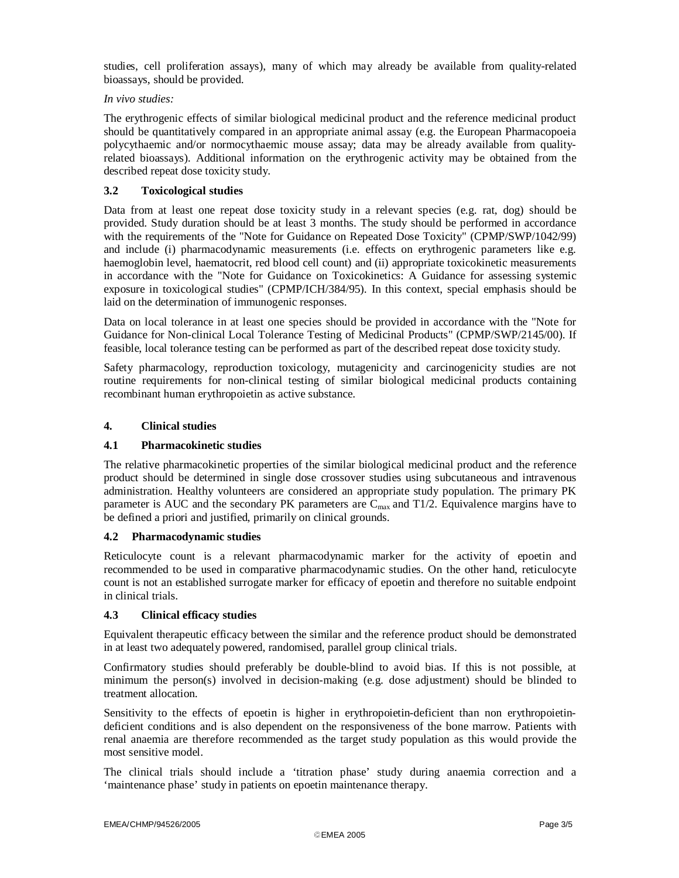studies, cell proliferation assays), many of which may already be available from quality-related bioassays, should be provided.

## *In vivo studies:*

The erythrogenic effects of similar biological medicinal product and the reference medicinal product should be quantitatively compared in an appropriate animal assay (e.g. the European Pharmacopoeia polycythaemic and/or normocythaemic mouse assay; data may be already available from qualityrelated bioassays). Additional information on the erythrogenic activity may be obtained from the described repeat dose toxicity study.

## **3.2 Toxicological studies**

Data from at least one repeat dose toxicity study in a relevant species (e.g. rat, dog) should be provided. Study duration should be at least 3 months. The study should be performed in accordance with the requirements of the "Note for Guidance on Repeated Dose Toxicity" (CPMP/SWP/1042/99) and include (i) pharmacodynamic measurements (i.e. effects on erythrogenic parameters like e.g. haemoglobin level, haematocrit, red blood cell count) and (ii) appropriate toxicokinetic measurements in accordance with the "Note for Guidance on Toxicokinetics: A Guidance for assessing systemic exposure in toxicological studies" (CPMP/ICH/384/95). In this context, special emphasis should be laid on the determination of immunogenic responses.

Data on local tolerance in at least one species should be provided in accordance with the "Note for Guidance for Non-clinical Local Tolerance Testing of Medicinal Products" (CPMP/SWP/2145/00). If feasible, local tolerance testing can be performed as part of the described repeat dose toxicity study.

Safety pharmacology, reproduction toxicology, mutagenicity and carcinogenicity studies are not routine requirements for non-clinical testing of similar biological medicinal products containing recombinant human erythropoietin as active substance.

## **4. Clinical studies**

## **4.1 Pharmacokinetic studies**

The relative pharmacokinetic properties of the similar biological medicinal product and the reference product should be determined in single dose crossover studies using subcutaneous and intravenous administration. Healthy volunteers are considered an appropriate study population. The primary PK parameter is AUC and the secondary PK parameters are  $C_{\text{max}}$  and T1/2. Equivalence margins have to be defined a priori and justified, primarily on clinical grounds.

## **4.2 Pharmacodynamic studies**

Reticulocyte count is a relevant pharmacodynamic marker for the activity of epoetin and recommended to be used in comparative pharmacodynamic studies. On the other hand, reticulocyte count is not an established surrogate marker for efficacy of epoetin and therefore no suitable endpoint in clinical trials.

## **4.3 Clinical efficacy studies**

Equivalent therapeutic efficacy between the similar and the reference product should be demonstrated in at least two adequately powered, randomised, parallel group clinical trials.

Confirmatory studies should preferably be double-blind to avoid bias. If this is not possible, at minimum the person(s) involved in decision-making (e.g. dose adjustment) should be blinded to treatment allocation.

Sensitivity to the effects of epoetin is higher in erythropoietin-deficient than non erythropoietindeficient conditions and is also dependent on the responsiveness of the bone marrow. Patients with renal anaemia are therefore recommended as the target study population as this would provide the most sensitive model.

The clinical trials should include a 'titration phase' study during anaemia correction and a 'maintenance phase' study in patients on epoetin maintenance therapy.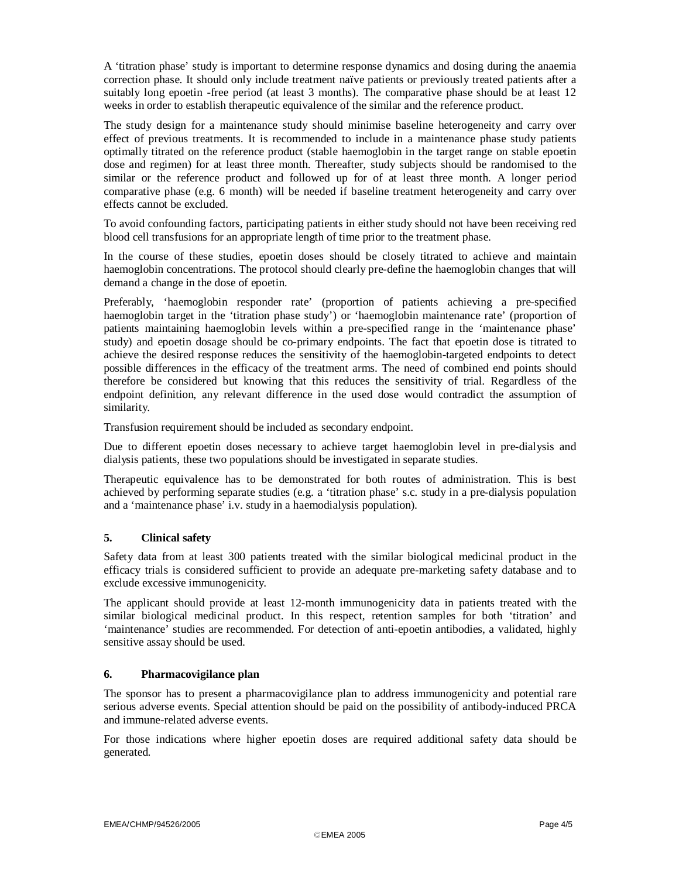A 'titration phase' study is important to determine response dynamics and dosing during the anaemia correction phase. It should only include treatment naïve patients or previously treated patients after a suitably long epoetin -free period (at least 3 months). The comparative phase should be at least 12 weeks in order to establish therapeutic equivalence of the similar and the reference product.

The study design for a maintenance study should minimise baseline heterogeneity and carry over effect of previous treatments. It is recommended to include in a maintenance phase study patients optimally titrated on the reference product (stable haemoglobin in the target range on stable epoetin dose and regimen) for at least three month. Thereafter, study subjects should be randomised to the similar or the reference product and followed up for of at least three month. A longer period comparative phase (e.g. 6 month) will be needed if baseline treatment heterogeneity and carry over effects cannot be excluded.

To avoid confounding factors, participating patients in either study should not have been receiving red blood cell transfusions for an appropriate length of time prior to the treatment phase.

In the course of these studies, epoetin doses should be closely titrated to achieve and maintain haemoglobin concentrations. The protocol should clearly pre-define the haemoglobin changes that will demand a change in the dose of epoetin.

Preferably, 'haemoglobin responder rate' (proportion of patients achieving a pre-specified haemoglobin target in the 'titration phase study') or 'haemoglobin maintenance rate' (proportion of patients maintaining haemoglobin levels within a pre-specified range in the 'maintenance phase' study) and epoetin dosage should be co-primary endpoints. The fact that epoetin dose is titrated to achieve the desired response reduces the sensitivity of the haemoglobin-targeted endpoints to detect possible differences in the efficacy of the treatment arms. The need of combined end points should therefore be considered but knowing that this reduces the sensitivity of trial. Regardless of the endpoint definition, any relevant difference in the used dose would contradict the assumption of similarity.

Transfusion requirement should be included as secondary endpoint.

Due to different epoetin doses necessary to achieve target haemoglobin level in pre-dialysis and dialysis patients, these two populations should be investigated in separate studies.

Therapeutic equivalence has to be demonstrated for both routes of administration. This is best achieved by performing separate studies (e.g. a 'titration phase' s.c. study in a pre-dialysis population and a 'maintenance phase' i.v. study in a haemodialysis population).

## **5. Clinical safety**

Safety data from at least 300 patients treated with the similar biological medicinal product in the efficacy trials is considered sufficient to provide an adequate pre-marketing safety database and to exclude excessive immunogenicity.

The applicant should provide at least 12-month immunogenicity data in patients treated with the similar biological medicinal product. In this respect, retention samples for both 'titration' and 'maintenance' studies are recommended. For detection of anti-epoetin antibodies, a validated, highly sensitive assay should be used.

## **6. Pharmacovigilance plan**

The sponsor has to present a pharmacovigilance plan to address immunogenicity and potential rare serious adverse events. Special attention should be paid on the possibility of antibody-induced PRCA and immune-related adverse events.

For those indications where higher epoetin doses are required additional safety data should be generated.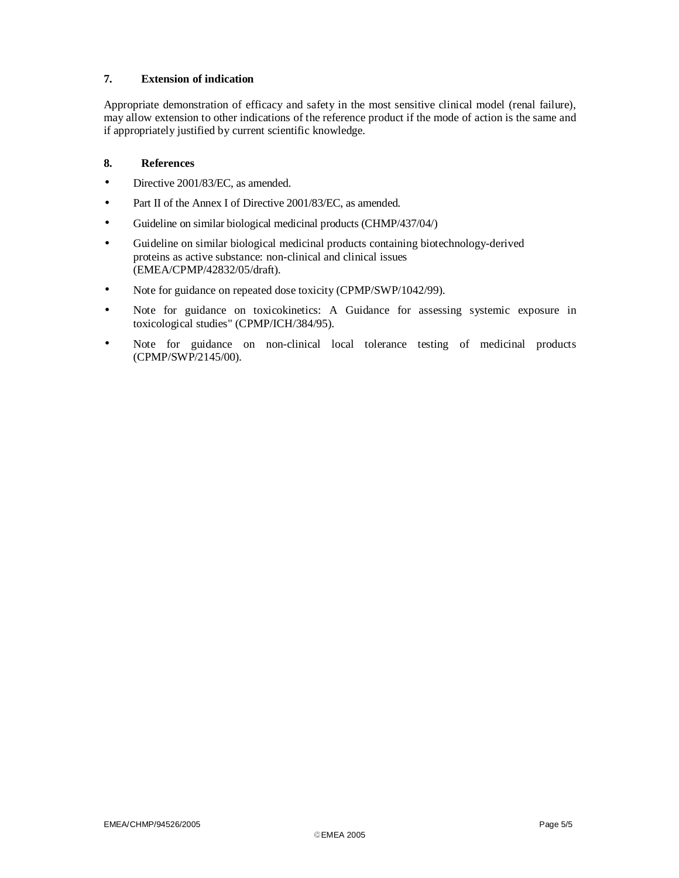## **7. Extension of indication**

Appropriate demonstration of efficacy and safety in the most sensitive clinical model (renal failure), may allow extension to other indications of the reference product if the mode of action is the same and if appropriately justified by current scientific knowledge.

## **8. References**

- Directive 2001/83/EC, as amended.
- Part II of the Annex I of Directive 2001/83/EC, as amended.
- Guideline on similar biological medicinal products (CHMP/437/04/)
- Guideline on similar biological medicinal products containing biotechnology-derived proteins as active substance: non-clinical and clinical issues (EMEA/CPMP/42832/05/draft).
- Note for guidance on repeated dose toxicity (CPMP/SWP/1042/99).
- Note for guidance on toxicokinetics: A Guidance for assessing systemic exposure in toxicological studies" (CPMP/ICH/384/95).
- Note for guidance on non-clinical local tolerance testing of medicinal products (CPMP/SWP/2145/00).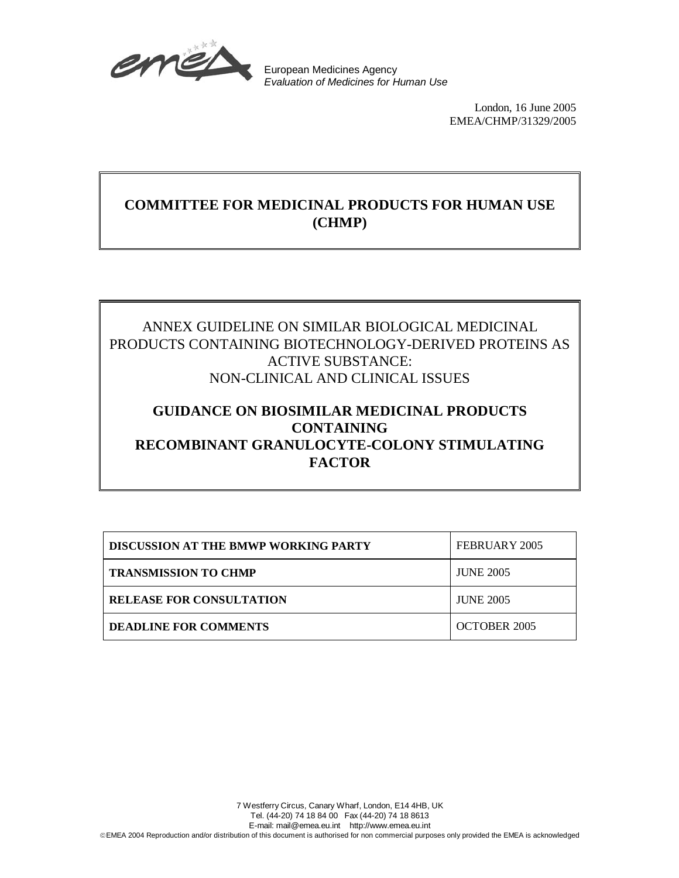

European Medicines Agency Evaluation of Medicines for Human Use

> London, 16 June 2005 EMEA/CHMP/31329/2005

# **COMMITTEE FOR MEDICINAL PRODUCTS FOR HUMAN USE (CHMP)**

## ANNEX GUIDELINE ON SIMILAR BIOLOGICAL MEDICINAL PRODUCTS CONTAINING BIOTECHNOLOGY-DERIVED PROTEINS AS ACTIVE SUBSTANCE: NON-CLINICAL AND CLINICAL ISSUES

# **GUIDANCE ON BIOSIMILAR MEDICINAL PRODUCTS CONTAINING RECOMBINANT GRANULOCYTE-COLONY STIMULATING FACTOR**

| <b>DISCUSSION AT THE BMWP WORKING PARTY</b> | FEBRUARY 2005    |
|---------------------------------------------|------------------|
| <b>TRANSMISSION TO CHMP</b>                 | <b>JUNE 2005</b> |
| <b>RELEASE FOR CONSULTATION</b>             | <b>JUNE 2005</b> |
| <b>DEADLINE FOR COMMENTS</b>                | OCTOBER 2005     |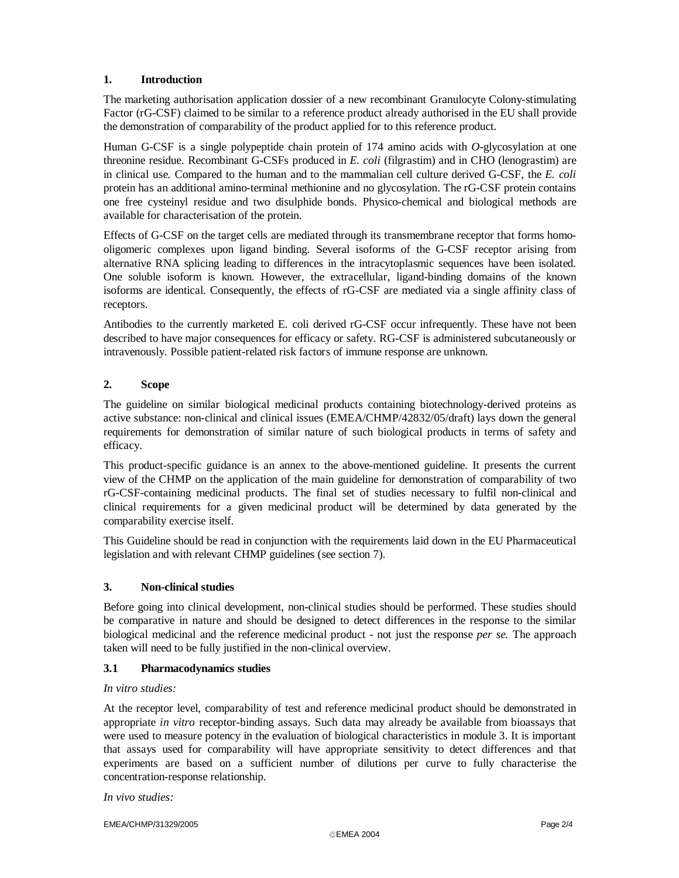## **1. Introduction**

The marketing authorisation application dossier of a new recombinant Granulocyte Colony-stimulating Factor (rG-CSF) claimed to be similar to a reference product already authorised in the EU shall provide the demonstration of comparability of the product applied for to this reference product.

Human G-CSF is a single polypeptide chain protein of 174 amino acids with *O*-glycosylation at one threonine residue. Recombinant G-CSFs produced in *E. coli* (filgrastim) and in CHO (lenograstim) are in clinical use. Compared to the human and to the mammalian cell culture derived G-CSF, the *E. coli*  protein has an additional amino-terminal methionine and no glycosylation. The rG-CSF protein contains one free cysteinyl residue and two disulphide bonds. Physico-chemical and biological methods are available for characterisation of the protein.

Effects of G-CSF on the target cells are mediated through its transmembrane receptor that forms homooligomeric complexes upon ligand binding. Several isoforms of the G-CSF receptor arising from alternative RNA splicing leading to differences in the intracytoplasmic sequences have been isolated. One soluble isoform is known. However, the extracellular, ligand-binding domains of the known isoforms are identical. Consequently, the effects of rG-CSF are mediated via a single affinity class of receptors.

Antibodies to the currently marketed E. coli derived rG-CSF occur infrequently. These have not been described to have major consequences for efficacy or safety. RG-CSF is administered subcutaneously or intravenously. Possible patient-related risk factors of immune response are unknown.

## **2. Scope**

The guideline on similar biological medicinal products containing biotechnology-derived proteins as active substance: non-clinical and clinical issues (EMEA/CHMP/42832/05/draft) lays down the general requirements for demonstration of similar nature of such biological products in terms of safety and efficacy.

This product-specific guidance is an annex to the above-mentioned guideline. It presents the current view of the CHMP on the application of the main guideline for demonstration of comparability of two rG-CSF-containing medicinal products. The final set of studies necessary to fulfil non-clinical and clinical requirements for a given medicinal product will be determined by data generated by the comparability exercise itself.

This Guideline should be read in conjunction with the requirements laid down in the EU Pharmaceutical legislation and with relevant CHMP guidelines (see section 7).

## **3. Non-clinical studies**

Before going into clinical development, non-clinical studies should be performed. These studies should be comparative in nature and should be designed to detect differences in the response to the similar biological medicinal and the reference medicinal product - not just the response *per se.* The approach taken will need to be fully justified in the non-clinical overview.

## **3.1 Pharmacodynamics studies**

## *In vitro studies:*

At the receptor level, comparability of test and reference medicinal product should be demonstrated in appropriate *in vitro* receptor-binding assays. Such data may already be available from bioassays that were used to measure potency in the evaluation of biological characteristics in module 3. It is important that assays used for comparability will have appropriate sensitivity to detect differences and that experiments are based on a sufficient number of dilutions per curve to fully characterise the concentration-response relationship.

*In vivo studies:* 

EMEA/CHMP/31329/2005 Page 2/4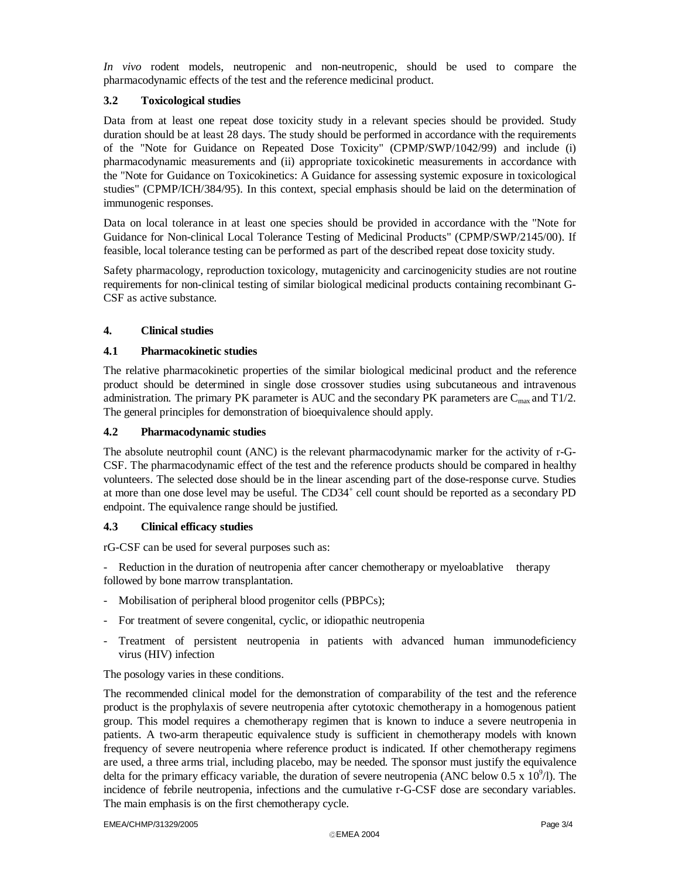*In vivo* rodent models, neutropenic and non-neutropenic, should be used to compare the pharmacodynamic effects of the test and the reference medicinal product.

## **3.2 Toxicological studies**

Data from at least one repeat dose toxicity study in a relevant species should be provided. Study duration should be at least 28 days. The study should be performed in accordance with the requirements of the "Note for Guidance on Repeated Dose Toxicity" (CPMP/SWP/1042/99) and include (i) pharmacodynamic measurements and (ii) appropriate toxicokinetic measurements in accordance with the "Note for Guidance on Toxicokinetics: A Guidance for assessing systemic exposure in toxicological studies" (CPMP/ICH/384/95). In this context, special emphasis should be laid on the determination of immunogenic responses.

Data on local tolerance in at least one species should be provided in accordance with the "Note for Guidance for Non-clinical Local Tolerance Testing of Medicinal Products" (CPMP/SWP/2145/00). If feasible, local tolerance testing can be performed as part of the described repeat dose toxicity study.

Safety pharmacology, reproduction toxicology, mutagenicity and carcinogenicity studies are not routine requirements for non-clinical testing of similar biological medicinal products containing recombinant G-CSF as active substance.

## **4. Clinical studies**

## **4.1 Pharmacokinetic studies**

The relative pharmacokinetic properties of the similar biological medicinal product and the reference product should be determined in single dose crossover studies using subcutaneous and intravenous administration. The primary PK parameter is AUC and the secondary PK parameters are  $C_{\text{max}}$  and T1/2. The general principles for demonstration of bioequivalence should apply.

## **4.2 Pharmacodynamic studies**

The absolute neutrophil count (ANC) is the relevant pharmacodynamic marker for the activity of r-G-CSF. The pharmacodynamic effect of the test and the reference products should be compared in healthy volunteers. The selected dose should be in the linear ascending part of the dose-response curve. Studies at more than one dose level may be useful. The CD34<sup>+</sup> cell count should be reported as a secondary PD endpoint. The equivalence range should be justified.

## **4.3 Clinical efficacy studies**

rG-CSF can be used for several purposes such as:

Reduction in the duration of neutropenia after cancer chemotherapy or myeloablative therapy followed by bone marrow transplantation.

- Mobilisation of peripheral blood progenitor cells (PBPCs);
- For treatment of severe congenital, cyclic, or idiopathic neutropenia
- Treatment of persistent neutropenia in patients with advanced human immunodeficiency virus (HIV) infection

## The posology varies in these conditions.

The recommended clinical model for the demonstration of comparability of the test and the reference product is the prophylaxis of severe neutropenia after cytotoxic chemotherapy in a homogenous patient group. This model requires a chemotherapy regimen that is known to induce a severe neutropenia in patients. A two-arm therapeutic equivalence study is sufficient in chemotherapy models with known frequency of severe neutropenia where reference product is indicated. If other chemotherapy regimens are used, a three arms trial, including placebo, may be needed. The sponsor must justify the equivalence delta for the primary efficacy variable, the duration of severe neutropenia (ANC below  $0.5 \times 10^9$ /l). The incidence of febrile neutropenia, infections and the cumulative r-G-CSF dose are secondary variables. The main emphasis is on the first chemotherapy cycle.